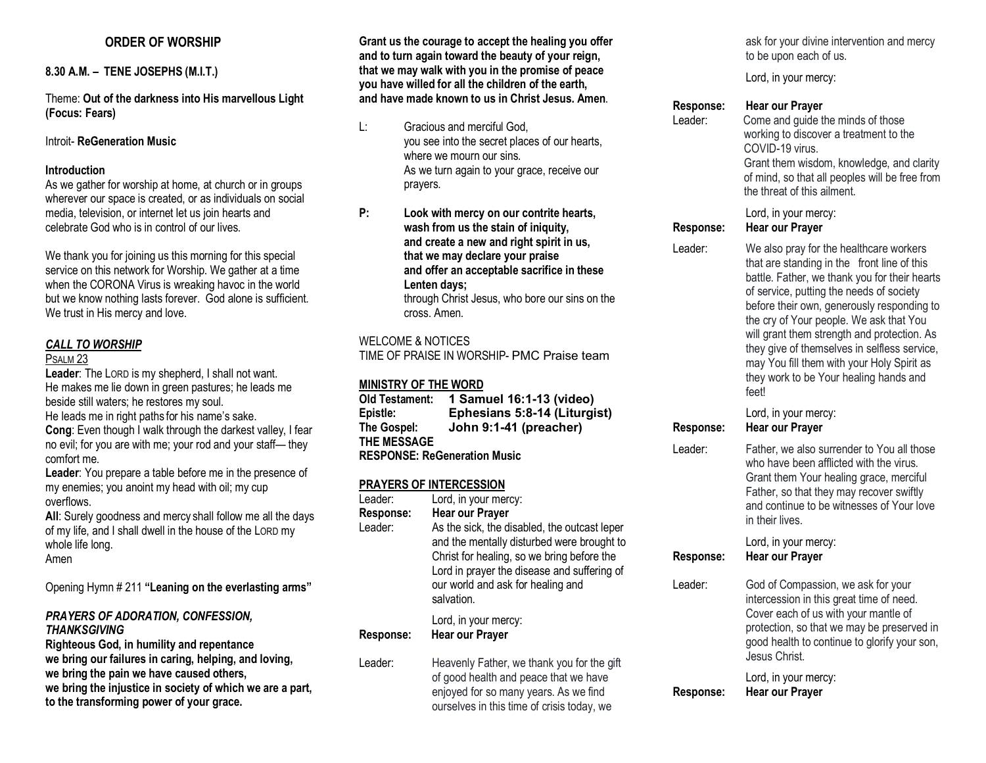# **ORDER OF WORSHIP**

# **8.30 A.M. – TENE JOSEPHS (M.I.T.)**

Theme: **Out of the darkness into His marvellous Light (Focus: Fears)**

#### Introit- **ReGeneration Music**

#### **Introduction**

As we gather for worship at home, at church or in groups wherever our space is created, or as individuals on social media, television, or internet let us join hearts and celebrate God who is in control of our lives.

We thank you for joining us this morning for this special service on this network for Worship. We gather at a time when the CORONA Virus is wreaking havoc in the world but we know nothing lasts forever. God alone is sufficient. We trust in His mercy and love.

# *CALL TO WORSHIP*

#### PSALM 23

**Leader**: The LORD is my shepherd, I shall not want. He makes me lie down in green pastures; he leads me beside still waters; he restores my soul. He leads me in right paths for his name's sake. **Cong**: Even though I walk through the darkest valley, I fear no evil; for you are with me; your rod and your staff— they

comfort me. **Leader**: You prepare a table before me in the presence of my enemies; you anoint my head with oil; my cup overflows.

**All**: Surely goodness and mercy shall follow me all the days of my life, and I shall dwell in the house of the LORD my whole life long. Amen

Opening Hymn # 211 **"Leaning on the everlasting arms"**

#### *PRAYERS OF ADORATION, CONFESSION, THANKSGIVING*

**Righteous God, in humility and repentance we bring our failures in caring, helping, and loving, we bring the pain we have caused others, we bring the injustice in society of which we are a part, to the transforming power of your grace.**

**Grant us the courage to accept the healing you offer and to turn again toward the beauty of your reign, that we may walk with you in the promise of peace you have willed for all the children of the earth, and have made known to us in Christ Jesus. Amen**.

- L: Gracious and merciful God, you see into the secret places of our hearts, where we mourn our sins. As we turn again to your grace, receive our prayers.
- **P: Look with mercy on our contrite hearts, wash from us the stain of iniquity, and create a new and right spirit in us, that we may declare your praise and offer an acceptable sacrifice in these Lenten days;** through Christ Jesus, who bore our sins on the cross. Amen.

#### WELCOME & NOTICES

TIME OF PRAISE IN WORSHIP- PMC Praise team

## **MINISTRY OF THE WORD**

| <b>Old Testament:</b>               | 1 Samuel 16:1-13 (video)     |  |
|-------------------------------------|------------------------------|--|
| Epistle:                            | Ephesians 5:8-14 (Liturgist) |  |
| The Gospel:                         | John 9:1-41 (preacher)       |  |
| THE MESSAGE                         |                              |  |
| <b>RESPONSE: ReGeneration Music</b> |                              |  |

### **PRAYERS OF INTERCESSION**

| Leader:<br>Response:<br>Leader: | Lord, in your mercy:<br>Hear our Prayer<br>As the sick, the disabled, the outcast leper<br>and the mentally disturbed were brought to<br>Christ for healing, so we bring before the<br>Lord in prayer the disease and suffering of<br>our world and ask for healing and<br>salvation. |
|---------------------------------|---------------------------------------------------------------------------------------------------------------------------------------------------------------------------------------------------------------------------------------------------------------------------------------|
| Response:                       | Lord, in your mercy:<br><b>Hear our Prayer</b>                                                                                                                                                                                                                                        |
| Leader:                         | Heavenly Father, we thank you for the gift<br>of good health and peace that we have<br>enjoyed for so many years. As we find<br>ourselves in this time of crisis today, we                                                                                                            |

ask for your divine intervention and mercy to be upon each of us.

Lord, in your mercy:

#### **Response: Hear our Prayer**

Leader: Come and guide the minds of those working to discover a treatment to the COVID-19 virus. Grant them wisdom, knowledge, and clarity of mind, so that all peoples will be free from the threat of this ailment.

#### Lord, in your mercy: **Response: Hear our Prayer**

Leader: We also pray for the healthcare workers that are standing in the front line of this battle. Father, we thank you for their hearts of service, putting the needs of society before their own, generously responding to the cry of Your people. We ask that You

will grant them strength and protection. As they give of themselves in selfless service, may You fill them with your Holy Spirit as they work to be Your healing hands and feet!

| Response:        | Lord, in your mercy:<br><b>Hear our Prayer</b>                                                                                                                                                                                               |
|------------------|----------------------------------------------------------------------------------------------------------------------------------------------------------------------------------------------------------------------------------------------|
| Leader:          | Father, we also surrender to You all those<br>who have been afflicted with the virus.<br>Grant them Your healing grace, merciful<br>Father, so that they may recover swiftly<br>and continue to be witnesses of Your love<br>in their lives. |
| Response:        | Lord, in your mercy:<br><b>Hear our Prayer</b>                                                                                                                                                                                               |
| Leader:          | God of Compassion, we ask for your<br>intercession in this great time of need.<br>Cover each of us with your mantle of<br>protection, so that we may be preserved in<br>good health to continue to glorify your son,<br>Jesus Christ.        |
| <b>Response:</b> | Lord, in your mercy:<br>Hear our Prayer                                                                                                                                                                                                      |